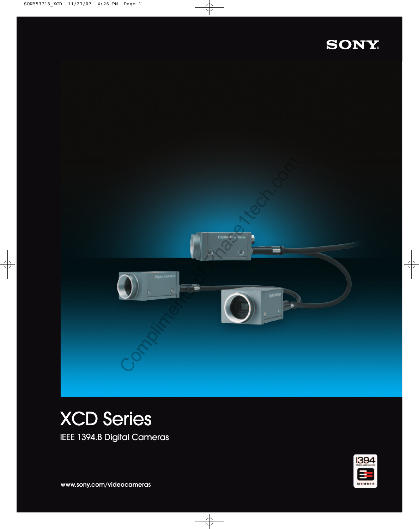## SONY



# XCD Series

IEEE 1394.B Digital Cameras



**www.sony.com/videocameras**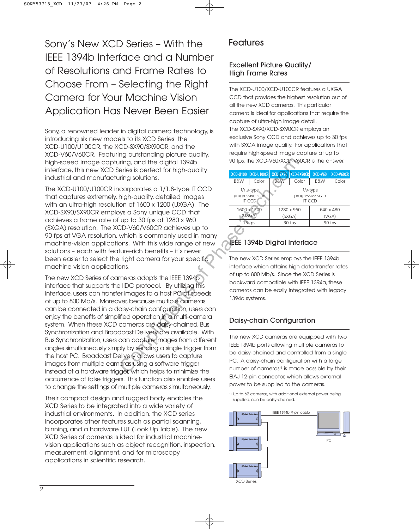Sony's New XCD Series – With the IEEE 1394b Interface and a Number of Resolutions and Frame Rates to Choose From – Selecting the Right Camera for Your Machine Vision Application Has Never Been Easier

Sony, a renowned leader in digital camera technology, is introducing six new models to its XCD Series: the XCD-U100/U100CR, the XCD-SX90/SX90CR, and the XCD-V60/V60CR. Featuring outstanding picture quality, high-speed image capturing, and the digital 1394b interface, this new XCD Series is perfect for high-quality industrial and manufacturing solutions.

The XCD-U100/U100CR incorporates a 1/1.8-type IT CCD that captures extremely, high-quality, detailed images with an ultra-high resolution of 1600 x 1200 (UXGA). The XCD-SX90/SX90CR employs a Sony unique CCD that achieves a frame rate of up to 30 fps at 1280 x 960 (SXGA) resolution. The XCD-V60/V60CR achieves up to 90 fps at VGA resolution, which is commonly used in many machine-vision applications. With this wide range of new solutions – each with feature-rich benefits – it's never been easier to select the right camera for your specific machine vision applications.

The new XCD Series of cameras adopts the IEEE 1394b interface that supports the IIDC protocol. By utilizing this interface, users can transfer images to a host PC at speeds of up to 800 Mb/s. Moreover, because multiple cameras can be connected in a daisy-chain configuration, users can enjoy the benefits of simplified operation in a multi-camera system. When these XCD cameras are daisy-chained, Bus Synchronization and Broadcast Delivery are available. With Bus Synchronization, users can capture images from different angles simultaneously simply by sending a single trigger from the host PC. Broadcast Delivery allows users to capture images from multiple cameras using a software trigger instead of a hardware trigger, which helps to minimize the occurrence of false triggers. This function also enables users to change the settings of multiple cameras simultaneously. The metric of the complete the metric of the same of the set of the same of the same of the same of the same of the same of the same of the same of the same of the same of the same of the same of the same of the same of th

Their compact design and rugged body enables the XCD Series to be integrated into a wide variety of industrial environments. In addition, the XCD series incorporates other features such as partial scanning, binning, and a hardware LUT (Look Up Table). The new XCD Series of cameras is ideal for industrial machinevision applications such as object recognition, inspection, measurement, alignment, and for microscopy applications in scientific research.

### Features

#### Excellent Picture Quality/ High Frame Rates

The XCD-U100/XCD-U100CR features a UXGA CCD that provides the highest resolution out of all the new XCD cameras. This particular camera is ideal for applications that require the capture of ultra-high image detail. The XCD-SX90/XCD-SX90CR employs an exclusive Sony CCD and achieves up to 30 fps with SXGA image quality. For applications that require high-speed image capture at up to 90 fps, the XCD-V60/XCD-V60CR is the answer.

| <b>XCD-U100</b>                             | $ XCD-U100CR $ | XCD-SX90                                  | XCD-SX90CR | XCD-V60   | XCD-V60CR |  |  |
|---------------------------------------------|----------------|-------------------------------------------|------------|-----------|-----------|--|--|
| B&W                                         | Color          | B&W                                       | Color      | B&W       | Color     |  |  |
| $1/1.8$ -type<br>progressive scan<br>IT CCD |                | $1/3$ -type<br>progressive scan<br>IT CCD |            |           |           |  |  |
| 1600 x 1200                                 |                |                                           | 1280 x 960 | 640 x 480 |           |  |  |
| (UXGA)                                      |                |                                           | (SXGA)     | (VGA)     |           |  |  |
| 15 fps                                      |                |                                           | 30 fps     | 90 fps    |           |  |  |
|                                             |                |                                           |            |           |           |  |  |

## IEEE 1394b Digital Interface

The new XCD Series employs the IEEE 1394b interface which attains high data-transfer rates of up to 800 Mb/s. Since the XCD Series is backward compatible with IEEE 1394a, these cameras can be easily integrated with legacy 1394a systems.

## Daisy-chain Configuration

The new XCD cameras are equipped with two IEEE 1394b ports allowing multiple cameras to be daisy-chained and controlled from a single PC. A daisy-chain configuration with a large number of cameras\*1 is made possible by their EIAJ 12-pin connector, which allows external power to be supplied to the cameras.

\*1 Up to 62 cameras, with additional external power being supplied, can be daisy-chained.

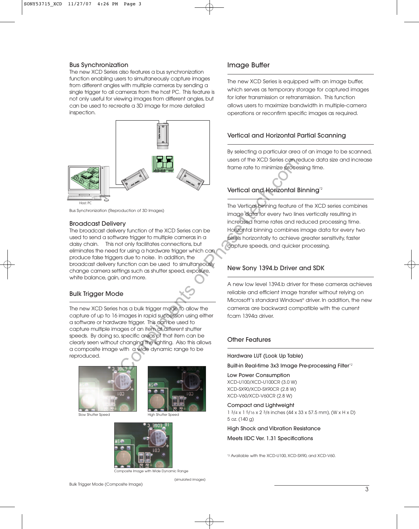#### Bus Synchronization

The new XCD Series also features a bus synchronization function enabling users to simultaneously capture images from different angles with multiple cameras by sending a single trigger to all cameras from the host PC. This feature is not only useful for viewing images from different angles, but can be used to recreate a 3D image for more detailed inspection.



Bus Synchronization (Reproduction of 3D Images)

#### Broadcast Delivery

The broadcast delivery function of the XCD Series can be used to send a software trigger to multiple cameras in a daisy chain. This not only facilitates connections, but eliminates the need for using a hardware trigger which can produce false triggers due to noise. In addition, the broadcast delivery function can be used to simultaneously change camera settings such as shutter speed, exposure, white balance, gain, and more. Were the XCD Series can re frame rate to minimize process of the XCD Series can re frame rate to minimize process than the vertical and Hotizontal E<br>
Yery function of the XCD Series can be increased from errors or the star

#### Bulk Trigger Mode

The new XCD Series has a bulk trigger mode to allow the capture of up to 16 images in rapid succession using either a software or hardware trigger. This can be used to capture multiple images of an item at different shutter speeds. By doing so, specific areas of that item can be clearly seen without changing the lighting. Also this allows a composite image with a wide dynamic range to be reproduced.





Slow Shutter Speed High Shutter Speed



Composite Image with Wide Dynamic Range

(simulated images)

#### Image Buffer

The new XCD Series is equipped with an image buffer, which serves as temporary storage for captured images for later transmission or retransmission. This function allows users to maximize bandwidth in multiple-camera operations or reconfirm specific images as required.

#### Vertical and Horizontal Partial Scanning

By selecting a particular area of an image to be scanned, users of the XCD Series can reduce data size and increase frame rate to minimize processing time.

#### Vertical and Horizontal Binning<sup>\*2</sup>

The Vertical binning feature of the XCD series combines image data for every two lines vertically resulting in increased frame rates and reduced processing time. Horizontal binning combines image data for every two pixels horizontally to achieve greater sensitivity, faster capture speeds, and quicker processing.

#### New Sony 1394.b Driver and SDK

A new low level 1394.b driver for these cameras achieves reliable and efficient image transfer without relying on Microsoft's standard Windows® driver. In addition, the new cameras are backward compatible with the current fcam 1394a driver.

#### Other Features

#### Hardware LUT (Look Up Table)

Built-in Real-time 3x3 Image Pre-processing Filter\*2

Low Power Consumption XCD-U100/XCD-U100CR (3.0 W) XCD-SX90/XCD-SX90CR (2.8 W) XCD-V60/XCD-V60CR (2.8 W)

#### Compact and Lightweight

1 3/4 x 1 5/16 x 2 3/8 inches (44 x 33 x 57.5 mm), (W x H x D) 5 oz. (140 g)

#### High Shock and Vibration Resistance

Meets IIDC Ver. 1.31 Specifications

\*2 Available with the XCD-U100, XCD-SX90, and XCD-V60.